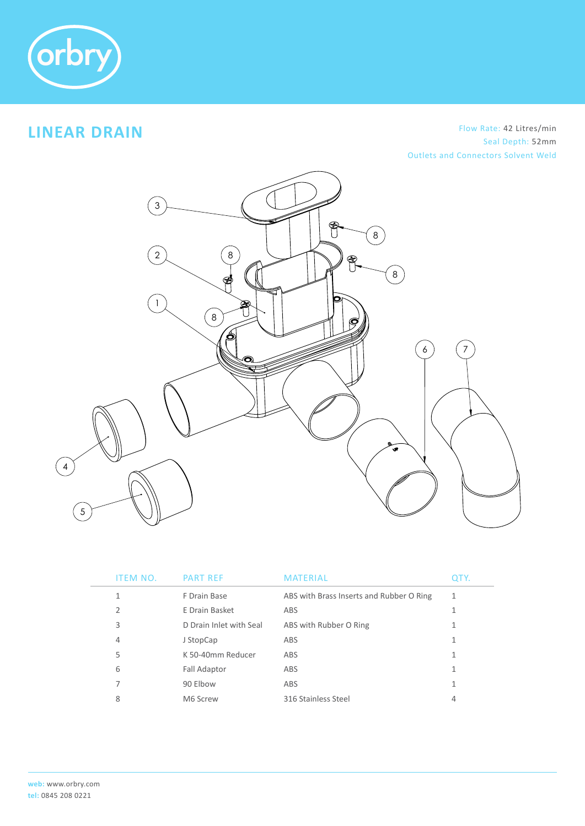

# **LINEAR DRAIN**

#### ITEM NO. PART REFERENCE MATERIAL QUART REFERENCE MATERIAL AND INTERNATIONAL PROPERTY. Outlets and Connectors Solvent Weld Flow Rate: 42 Litres/min Seal Depth: 52mm



| ITEM NO.       | <b>PART REF</b>         | MATERIAL                                 | QTY. |
|----------------|-------------------------|------------------------------------------|------|
| 1              | F Drain Base            | ABS with Brass Inserts and Rubber O Ring |      |
| $\overline{2}$ | E Drain Basket          | ABS                                      |      |
| 3              | D Drain Inlet with Seal | ABS with Rubber O Ring                   |      |
| 4              | J StopCap               | ABS                                      |      |
| 5              | K 50-40mm Reducer       | ABS                                      |      |
| 6              | <b>Fall Adaptor</b>     | ABS                                      |      |
| 7              | 90 Elbow                | ABS                                      |      |
| 8              | M6 Screw                | 316 Stainless Steel                      | 4    |
|                |                         |                                          |      |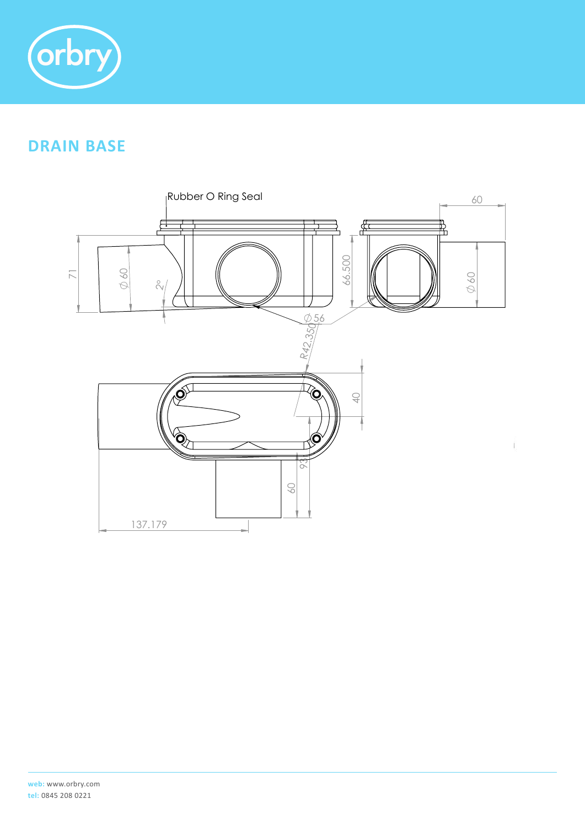

# **DRAIN BASE**

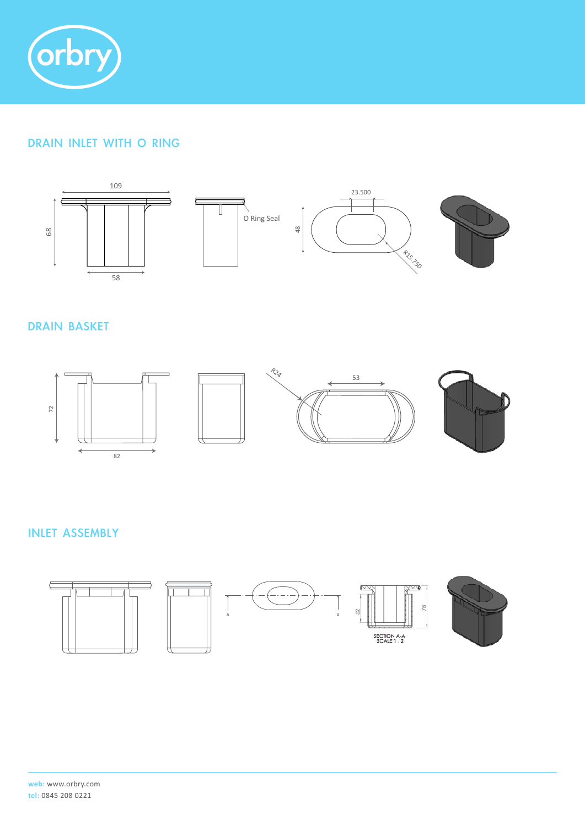

### DRAIN INLET WITH O RING



#### DRAIN BASKET



#### INLET ASSEMBLY

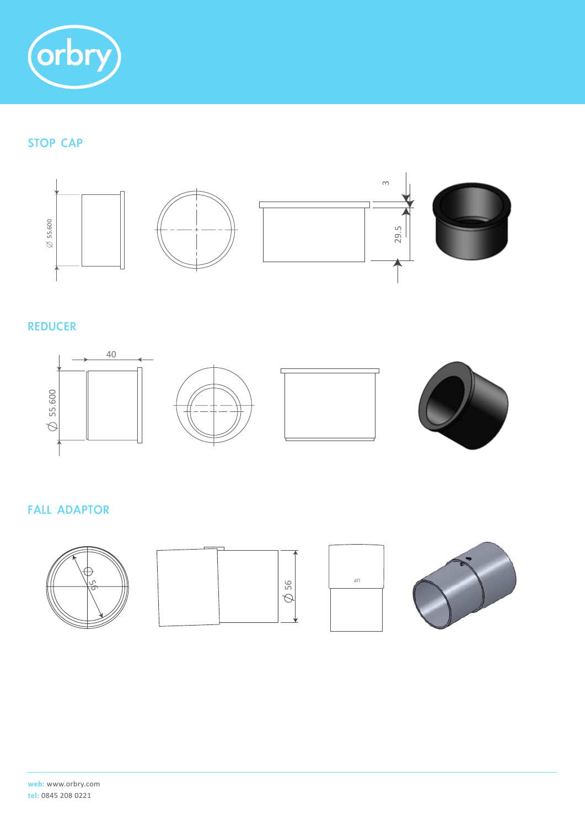

### STOP CAP



#### REDUCER



#### FALL ADAPTOR